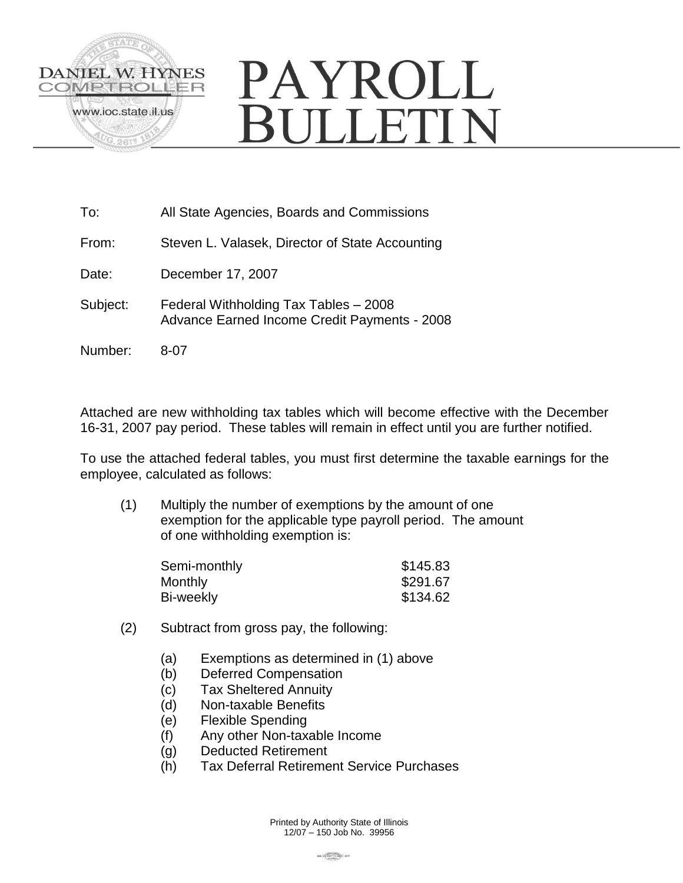

# PAYROLL **BULLETIN**

| To:      | All State Agencies, Boards and Commissions                                                   |
|----------|----------------------------------------------------------------------------------------------|
| From:    | Steven L. Valasek, Director of State Accounting                                              |
| Date:    | December 17, 2007                                                                            |
| Subject: | Federal Withholding Tax Tables - 2008<br><b>Advance Earned Income Credit Payments - 2008</b> |
| Number:  | 8-07                                                                                         |

Attached are new withholding tax tables which will become effective with the December 16-31, 2007 pay period. These tables will remain in effect until you are further notified.

To use the attached federal tables, you must first determine the taxable earnings for the employee, calculated as follows:

(1) Multiply the number of exemptions by the amount of one exemption for the applicable type payroll period. The amount of one withholding exemption is:

| Semi-monthly | \$145.83 |
|--------------|----------|
| Monthly      | \$291.67 |
| Bi-weekly    | \$134.62 |

- (2) Subtract from gross pay, the following:
	- (a) Exemptions as determined in (1) above
	- (b) Deferred Compensation
	- (c) Tax Sheltered Annuity
	- (d) Non-taxable Benefits
	- (e) Flexible Spending
	- (f) Any other Non-taxable Income
	- (g) Deducted Retirement
	- (h) Tax Deferral Retirement Service Purchases

Printed by Authority State of Illinois 12/07 – 150 Job No. 39956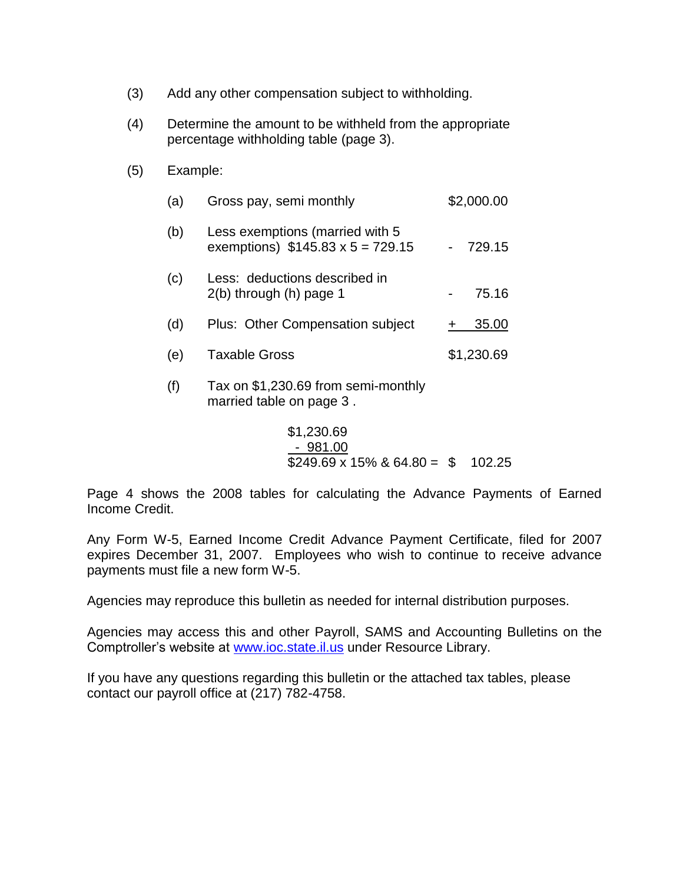- (3) Add any other compensation subject to withholding.
- (4) Determine the amount to be withheld from the appropriate percentage withholding table (page 3).
- (5) Example:

| (a) | Gross pay, semi monthly                                                    | \$2,000.00 |
|-----|----------------------------------------------------------------------------|------------|
| (b) | Less exemptions (married with 5<br>exemptions) $$145.83 \times 5 = 729.15$ | 729.15     |
| (c) | Less: deductions described in<br>$2(b)$ through $(h)$ page 1               | 75.16      |
| (d) | Plus: Other Compensation subject                                           | 35.00      |
| (e) | <b>Taxable Gross</b>                                                       | \$1,230.69 |
| (f) | Tax on \$1,230.69 from semi-monthly<br>married table on page 3.            |            |

\$1,230.69 - 981.00  $$249.69 \times 15\% \& 64.80 = $ 102.25$ 

Page 4 shows the 2008 tables for calculating the Advance Payments of Earned Income Credit.

Any Form W-5, Earned Income Credit Advance Payment Certificate, filed for 2007 expires December 31, 2007. Employees who wish to continue to receive advance payments must file a new form W-5.

Agencies may reproduce this bulletin as needed for internal distribution purposes.

Agencies may access this and other Payroll, SAMS and Accounting Bulletins on the Comptroller's website at [www.ioc.state.il.us](http://www.ioc.state.il.us/) under Resource Library.

If you have any questions regarding this bulletin or the attached tax tables, please contact our payroll office at (217) 782-4758.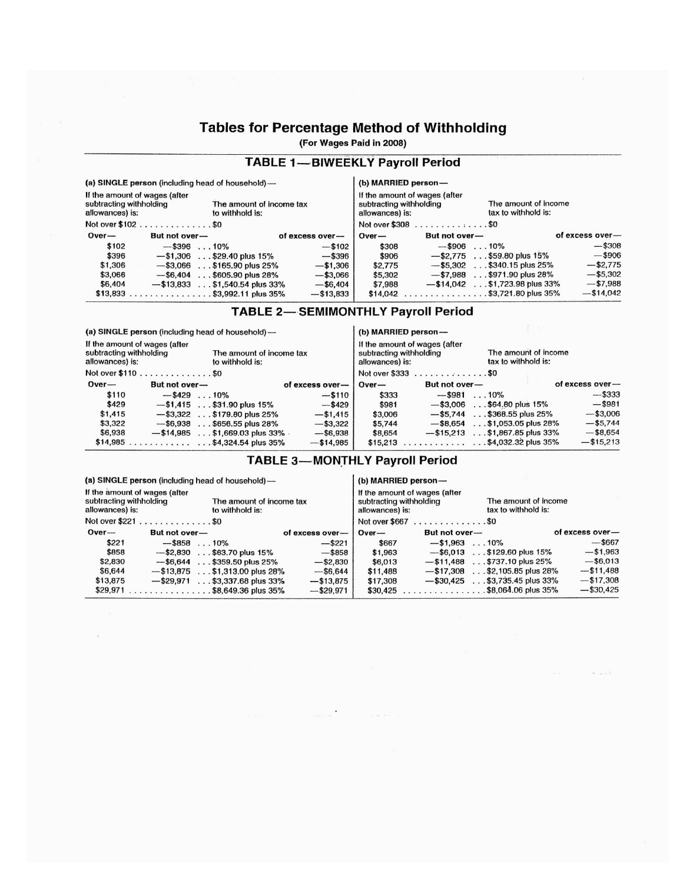# **Tables for Percentage Method of Withholding**

(For Wages Paid in 2008)

#### **TABLE 1-BIWEEKLY Payroll Period**  $\sim$

|                                                                                                                            |                       | (a) SINGLE person (including head of household)— |                 |          | (b) MARRIED person—                                                         |                                             |                 |
|----------------------------------------------------------------------------------------------------------------------------|-----------------------|--------------------------------------------------|-----------------|----------|-----------------------------------------------------------------------------|---------------------------------------------|-----------------|
| If the amount of wages (after<br>subtracting withholding<br>The amount of income tax<br>to withhold is:<br>allowances) is: |                       |                                                  |                 |          | If the amount of wages (after<br>subtracting withholding<br>allowances) is: | The amount of income<br>tax to withhold is: |                 |
|                                                                                                                            | Not over \$102 \$0    |                                                  |                 |          | Not over \$308 \$0                                                          |                                             |                 |
| $Over-$                                                                                                                    | But not over-         |                                                  | of excess over- | $Over-$  | But not over-                                                               |                                             | of excess over- |
| \$102                                                                                                                      | $-$ \$396 $\dots$ 10% |                                                  | $-15102$        | \$308    | $-$ \$906 $\dots$ 10%                                                       |                                             | $-$308$         |
| \$396                                                                                                                      |                       | $-$ \$1,306 \$29.40 plus 15%                     | $-$ \$396       | \$906    |                                                                             | $-$ \$2,775 \$59.80 plus 15%                | $-$ \$906       |
| \$1,306                                                                                                                    |                       | $-$ \$3,066 \$165.90 plus 25%                    | $-$ \$1,306     | \$2,775  |                                                                             | $-$ \$5,302 \$340.15 plus 25%               | $-$ \$2,775     |
| \$3,066                                                                                                                    |                       | $-$ \$6,404 \$605.90 plus 28%                    | $- $3,066$      | \$5,302  |                                                                             | $-$ \$7,988 \$971.90 plus 28%               | $- $5,302$      |
| \$6,404                                                                                                                    |                       | $-$ \$13,833 \$1,540.54 plus 33%                 | $-$ \$6.404     | \$7,988  |                                                                             | $-$ \$14,042 \$1,723.98 plus 33%            | $-57,988$       |
|                                                                                                                            |                       | $$13,833$ \$3,992.11 plus 35%                    | $- $13,833$     | \$14,042 | . \$3,721.80 plus 35%                                                       |                                             | $-$14,042$      |
|                                                                                                                            |                       |                                                  |                 |          |                                                                             |                                             |                 |

### **TABLE 2-SEMIMONTHLY Payroll Period**

|                                                                                                                            |                       | (a) SINGLE person (including head of household) - |                 | (b) MARRIED person- |                                                          |                                             |                 |  |
|----------------------------------------------------------------------------------------------------------------------------|-----------------------|---------------------------------------------------|-----------------|---------------------|----------------------------------------------------------|---------------------------------------------|-----------------|--|
| If the amount of wages (after<br>subtracting withholding<br>The amount of income tax<br>allowances) is:<br>to withhold is: |                       |                                                   |                 | allowances) is:     | If the amount of wages (after<br>subtracting withholding | The amount of income<br>tax to withhold is: |                 |  |
|                                                                                                                            | Not over \$110 \$0    |                                                   |                 |                     | Not over \$333 \$0                                       |                                             |                 |  |
| $Over-$                                                                                                                    | But not over-         |                                                   | of excess over- | $Over-$             | But not over-                                            |                                             | of excess over- |  |
| \$110                                                                                                                      | $-$ \$429 $\dots$ 10% |                                                   | $-5110$         | \$333               | $-$ \$981                                                | $\ldots$ 10%                                | $-$ \$333       |  |
| \$429                                                                                                                      |                       | $-$ \$1,415 \$31.90 plus 15%                      | $-$ \$429       | \$981               |                                                          | $-$ \$3,006 \$64.80 plus 15%                | $-$ \$981       |  |
| \$1,415                                                                                                                    |                       | $-$ \$3,322 \$179.80 plus 25%                     | $-$ \$1,415     | \$3,006             |                                                          | $-$ \$5.744 \$368.55 plus 25%               | $- $3,006$      |  |
| \$3,322                                                                                                                    |                       | $-$ \$6,938 \$656.55 plus 28%                     | $-$ \$3,322     | \$5.744             |                                                          | $-$ \$8,654 \$1,053.05 plus 28%             | $-$ \$5,744     |  |
| \$6,938                                                                                                                    |                       | $-$ \$14,985 \$1,669.03 plus 33% .                | $-$ \$6,938     | \$8,654             | $-$ \$15.213                                             | $\ldots$ \$1,867.85 plus 33%                | $-$ \$8,654     |  |
|                                                                                                                            |                       | $$14,985$ $$4,324.54$ plus 35%                    | $- $14,985$     |                     |                                                          | $$15,213$ \$4,032.32 plus 35%               | $-$ \$15,213    |  |
|                                                                                                                            |                       |                                                   |                 |                     |                                                          |                                             |                 |  |

#### **TABLE 3-MONTHLY Payroll Period**

(a) SINGLE person (including head of household)-

(b) MARRIED person-

| If the amount of wages (after<br>subtracting withholding<br>allowances) is: | The amount of income tax<br>to withhold is:     | subtracting withholding<br>allowances) is: | If the amount of wages (after                                   | The amount of income<br>tax to withhold is: |                 |
|-----------------------------------------------------------------------------|-------------------------------------------------|--------------------------------------------|-----------------------------------------------------------------|---------------------------------------------|-----------------|
| Not over \$221 \$0                                                          |                                                 |                                            | Not over $$667$ \$0                                             |                                             |                 |
| $Over-$<br>But not over-                                                    | of excess over-                                 | $Over-$                                    | But not over-                                                   |                                             | of excess over- |
| \$221<br>$-$ \$858 $\dots$ 10%                                              | $-$ \$221                                       | \$667                                      | $-$ \$1.963 $\ldots$ 10%                                        |                                             | $-$ \$667       |
| \$858                                                                       | $-$ \$2,830 \$63.70 plus 15%<br>$-$ \$858       | \$1.963                                    |                                                                 | $-$ \$6.013 \$129.60 plus 15%               | $- $1,963$      |
| \$2,830                                                                     | $-$ \$6,644 \$359.50 plus 25%<br>$-$ \$2,830    | \$6,013                                    |                                                                 | $-$ \$11.488 \$737.10 plus 25%              | $-$ \$6,013     |
| \$6,644                                                                     | $-$ \$13,875 \$1,313.00 plus 28%<br>$-$ \$6.644 | \$11,488                                   |                                                                 | $-$ \$17,308 \$2,105.85 plus 28%            | $- $11,488$     |
| \$13,875                                                                    | $-$ \$29,971 \$3,337.68 plus 33%<br>$-$13,875$  | \$17,308                                   |                                                                 | $-$ \$30,425 \$3,735.45 plus 33%            | $- $17,308$     |
| $$29,971$ \$8,649.36 plus 35%                                               | $-$ \$29,971                                    | \$30,425                                   | $\ldots \ldots \ldots \ldots \ldots \ldots$ \$8,064.06 plus 35% |                                             | $-$ \$30,425    |